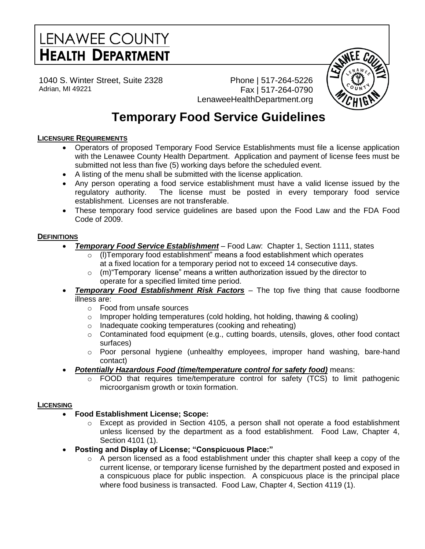# LENAWEE COUNTY **HEALTH DEPARTMENT**

1040 S. Winter Street, Suite 2328 Adrian, MI 49221

Phone | 517-264-5226 Fax | 517-264-0790 LenaweeHealthDepartment.org



# **Temporary Food Service Guidelines**

# **LICENSURE REQUIREMENTS**

- Operators of proposed Temporary Food Service Establishments must file a license application with the Lenawee County Health Department. Application and payment of license fees must be submitted not less than five (5) working days before the scheduled event.
- A listing of the menu shall be submitted with the license application.
- Any person operating a food service establishment must have a valid license issued by the regulatory authority. The license must be posted in every temporary food service establishment. Licenses are not transferable.
- These temporary food service guidelines are based upon the Food Law and the FDA Food Code of 2009.

# **DEFINITIONS**

- *Temporary Food Service Establishment* Food Law: Chapter 1, Section 1111, states
	- $\circ$  (I)Temporary food establishment" means a food establishment which operates at a fixed location for a temporary period not to exceed 14 consecutive days.
	- $\circ$  (m) "Temporary license" means a written authorization issued by the director to operate for a specified limited time period.
- *Temporary Food Establishment Risk Factors* The top five thing that cause foodborne illness are:
	- o Food from unsafe sources
	- o Improper holding temperatures (cold holding, hot holding, thawing & cooling)
	- o Inadequate cooking temperatures (cooking and reheating)
	- $\circ$  Contaminated food equipment (e.g., cutting boards, utensils, gloves, other food contact surfaces)
	- $\circ$  Poor personal hygiene (unhealthy employees, improper hand washing, bare-hand contact)
- *Potentially Hazardous Food (time/temperature control for safety food)* means:
	- o FOOD that requires time/temperature control for safety (TCS) to limit pathogenic microorganism growth or toxin formation.

# **LICENSING**

- **Food Establishment License; Scope:**
	- $\circ$  Except as provided in Section 4105, a person shall not operate a food establishment unless licensed by the department as a food establishment. Food Law, Chapter 4, Section 4101 (1).
- **Posting and Display of License; "Conspicuous Place:"**
	- $\circ$  A person licensed as a food establishment under this chapter shall keep a copy of the current license, or temporary license furnished by the department posted and exposed in a conspicuous place for public inspection. A conspicuous place is the principal place where food business is transacted. Food Law, Chapter 4, Section 4119 (1).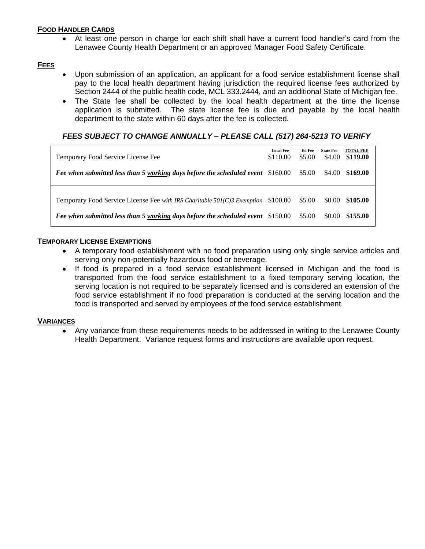#### **FOOD HANDLER CARDS**

 At least one person in charge for each shift shall have a current food handler's card from the Lenawee County Health Department or an approved Manager Food Safety Certificate.

# **FEES**

- Upon submission of an application, an applicant for a food service establishment license shall pay to the local health department having jurisdiction the required license fees authorized by Section 2444 of the public health code, MCL 333.2444, and an additional State of Michigan fee.
- The State fee shall be collected by the local health department at the time the license application is submitted. The state license fee is due and payable by the local health department to the state within 60 days after the fee is collected.

# *FEES SUBJECT TO CHANGE ANNUALLY – PLEASE CALL (517) 264-5213 TO VERIFY*

| Temporary Food Service License Fee                                                | <b>Local Fee</b><br>\$110.00 | Ed Fee<br>\$5.00 | <b>State Fee</b><br>\$4.00 | <b>TOTAL FEE</b><br>\$119.00 |
|-----------------------------------------------------------------------------------|------------------------------|------------------|----------------------------|------------------------------|
| Fee when submitted less than 5 working days before the scheduled event \$160.00   |                              | \$5.00           |                            | \$4.00 \$169.00              |
| Temporary Food Service License Fee with IRS Charitable 501(C)3 Exemption \$100.00 |                              | \$5.00           | \$0.00                     | \$105.00                     |
|                                                                                   |                              |                  |                            |                              |
| Fee when submitted less than 5 working days before the scheduled event \$150.00   |                              | \$5.00           | \$0.00                     | \$155.00                     |

#### **TEMPORARY LICENSE EXEMPTIONS**

- A temporary food establishment with no food preparation using only single service articles and serving only non-potentially hazardous food or beverage.
- If food is prepared in a food service establishment licensed in Michigan and the food is transported from the food service establishment to a fixed temporary serving location, the serving location is not required to be separately licensed and is considered an extension of the food service establishment if no food preparation is conducted at the serving location and the food is transported and served by employees of the food service establishment.

#### **VARIANCES**

 Any variance from these requirements needs to be addressed in writing to the Lenawee County Health Department. Variance request forms and instructions are available upon request.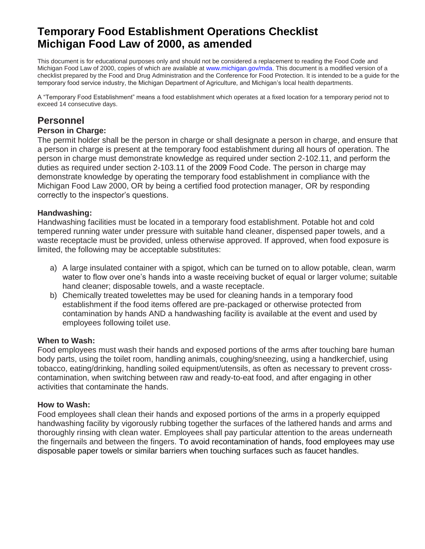# **Temporary Food Establishment Operations Checklist Michigan Food Law of 2000, as amended**

This document is for educational purposes only and should not be considered a replacement to reading the Food Code and Michigan Food Law of 2000, copies of which are available at www.michigan.gov/mda. This document is a modified version of a checklist prepared by the Food and Drug Administration and the Conference for Food Protection. It is intended to be a guide for the temporary food service industry, the Michigan Department of Agriculture, and Michigan's local health departments.

A "Temporary Food Establishment" means a food establishment which operates at a fixed location for a temporary period not to exceed 14 consecutive days.

# **Personnel**

## **Person in Charge:**

The permit holder shall be the person in charge or shall designate a person in charge, and ensure that a person in charge is present at the temporary food establishment during all hours of operation. The person in charge must demonstrate knowledge as required under section 2-102.11, and perform the duties as required under section 2-103.11 of the 2009 Food Code. The person in charge may demonstrate knowledge by operating the temporary food establishment in compliance with the Michigan Food Law 2000, OR by being a certified food protection manager, OR by responding correctly to the inspector's questions.

#### **Handwashing:**

Handwashing facilities must be located in a temporary food establishment. Potable hot and cold tempered running water under pressure with suitable hand cleaner, dispensed paper towels, and a waste receptacle must be provided, unless otherwise approved. If approved, when food exposure is limited, the following may be acceptable substitutes:

- a) A large insulated container with a spigot, which can be turned on to allow potable, clean, warm water to flow over one's hands into a waste receiving bucket of equal or larger volume; suitable hand cleaner; disposable towels, and a waste receptacle.
- b) Chemically treated towelettes may be used for cleaning hands in a temporary food establishment if the food items offered are pre-packaged or otherwise protected from contamination by hands AND a handwashing facility is available at the event and used by employees following toilet use.

#### **When to Wash:**

Food employees must wash their hands and exposed portions of the arms after touching bare human body parts, using the toilet room, handling animals, coughing/sneezing, using a handkerchief, using tobacco, eating/drinking, handling soiled equipment/utensils, as often as necessary to prevent crosscontamination, when switching between raw and ready-to-eat food, and after engaging in other activities that contaminate the hands.

#### **How to Wash:**

Food employees shall clean their hands and exposed portions of the arms in a properly equipped handwashing facility by vigorously rubbing together the surfaces of the lathered hands and arms and thoroughly rinsing with clean water. Employees shall pay particular attention to the areas underneath the fingernails and between the fingers. To avoid recontamination of hands, food employees may use disposable paper towels or similar barriers when touching surfaces such as faucet handles.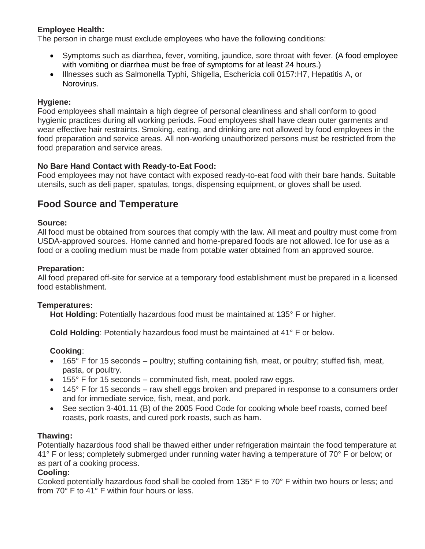# **Employee Health:**

The person in charge must exclude employees who have the following conditions:

- Symptoms such as diarrhea, fever, vomiting, jaundice, sore throat with fever. (A food employee with vomiting or diarrhea must be free of symptoms for at least 24 hours.)
- Illnesses such as Salmonella Typhi, Shigella, Eschericia coli 0157:H7, Hepatitis A, or Norovirus.

#### **Hygiene:**

Food employees shall maintain a high degree of personal cleanliness and shall conform to good hygienic practices during all working periods. Food employees shall have clean outer garments and wear effective hair restraints. Smoking, eating, and drinking are not allowed by food employees in the food preparation and service areas. All non-working unauthorized persons must be restricted from the food preparation and service areas.

#### **No Bare Hand Contact with Ready-to-Eat Food:**

Food employees may not have contact with exposed ready-to-eat food with their bare hands. Suitable utensils, such as deli paper, spatulas, tongs, dispensing equipment, or gloves shall be used.

# **Food Source and Temperature**

#### **Source:**

All food must be obtained from sources that comply with the law. All meat and poultry must come from USDA-approved sources. Home canned and home-prepared foods are not allowed. Ice for use as a food or a cooling medium must be made from potable water obtained from an approved source.

#### **Preparation:**

All food prepared off-site for service at a temporary food establishment must be prepared in a licensed food establishment.

#### **Temperatures:**

**Hot Holding**: Potentially hazardous food must be maintained at 135° F or higher.

**Cold Holding**: Potentially hazardous food must be maintained at 41° F or below.

#### **Cooking**:

- 165° F for 15 seconds poultry; stuffing containing fish, meat, or poultry; stuffed fish, meat, pasta, or poultry.
- $\bullet$  155° F for 15 seconds comminuted fish, meat, pooled raw eggs.
- 145° F for 15 seconds raw shell eggs broken and prepared in response to a consumers order and for immediate service, fish, meat, and pork.
- See section 3-401.11 (B) of the 2005 Food Code for cooking whole beef roasts, corned beef roasts, pork roasts, and cured pork roasts, such as ham.

#### **Thawing:**

Potentially hazardous food shall be thawed either under refrigeration maintain the food temperature at 41° F or less; completely submerged under running water having a temperature of 70° F or below; or as part of a cooking process.

#### **Cooling:**

Cooked potentially hazardous food shall be cooled from 135° F to 70° F within two hours or less; and from 70° F to 41° F within four hours or less.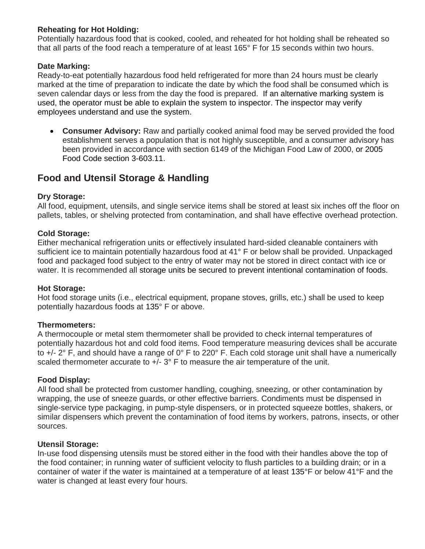## **Reheating for Hot Holding:**

Potentially hazardous food that is cooked, cooled, and reheated for hot holding shall be reheated so that all parts of the food reach a temperature of at least 165° F for 15 seconds within two hours.

#### **Date Marking:**

Ready-to-eat potentially hazardous food held refrigerated for more than 24 hours must be clearly marked at the time of preparation to indicate the date by which the food shall be consumed which is seven calendar days or less from the day the food is prepared. If an alternative marking system is used, the operator must be able to explain the system to inspector. The inspector may verify employees understand and use the system.

 **Consumer Advisory:** Raw and partially cooked animal food may be served provided the food establishment serves a population that is not highly susceptible, and a consumer advisory has been provided in accordance with section 6149 of the Michigan Food Law of 2000, or 2005 Food Code section 3-603.11.

# **Food and Utensil Storage & Handling**

#### **Dry Storage:**

All food, equipment, utensils, and single service items shall be stored at least six inches off the floor on pallets, tables, or shelving protected from contamination, and shall have effective overhead protection.

#### **Cold Storage:**

Either mechanical refrigeration units or effectively insulated hard-sided cleanable containers with sufficient ice to maintain potentially hazardous food at 41° F or below shall be provided. Unpackaged food and packaged food subject to the entry of water may not be stored in direct contact with ice or water. It is recommended all storage units be secured to prevent intentional contamination of foods.

#### **Hot Storage:**

Hot food storage units (i.e., electrical equipment, propane stoves, grills, etc.) shall be used to keep potentially hazardous foods at 135° F or above.

#### **Thermometers:**

A thermocouple or metal stem thermometer shall be provided to check internal temperatures of potentially hazardous hot and cold food items. Food temperature measuring devices shall be accurate to +/- 2° F, and should have a range of 0° F to 220° F. Each cold storage unit shall have a numerically scaled thermometer accurate to  $+/- 3°$  F to measure the air temperature of the unit.

# **Food Display:**

All food shall be protected from customer handling, coughing, sneezing, or other contamination by wrapping, the use of sneeze guards, or other effective barriers. Condiments must be dispensed in single-service type packaging, in pump-style dispensers, or in protected squeeze bottles, shakers, or similar dispensers which prevent the contamination of food items by workers, patrons, insects, or other sources.

#### **Utensil Storage:**

In-use food dispensing utensils must be stored either in the food with their handles above the top of the food container; in running water of sufficient velocity to flush particles to a building drain; or in a container of water if the water is maintained at a temperature of at least 135°F or below 41°F and the water is changed at least every four hours.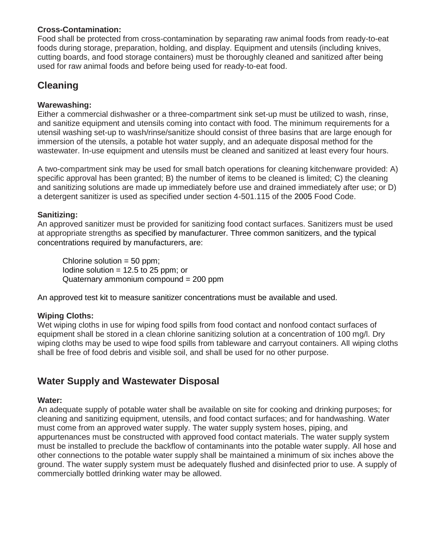# **Cross-Contamination:**

Food shall be protected from cross-contamination by separating raw animal foods from ready-to-eat foods during storage, preparation, holding, and display. Equipment and utensils (including knives, cutting boards, and food storage containers) must be thoroughly cleaned and sanitized after being used for raw animal foods and before being used for ready-to-eat food.

# **Cleaning**

# **Warewashing:**

Either a commercial dishwasher or a three-compartment sink set-up must be utilized to wash, rinse, and sanitize equipment and utensils coming into contact with food. The minimum requirements for a utensil washing set-up to wash/rinse/sanitize should consist of three basins that are large enough for immersion of the utensils, a potable hot water supply, and an adequate disposal method for the wastewater. In-use equipment and utensils must be cleaned and sanitized at least every four hours.

A two-compartment sink may be used for small batch operations for cleaning kitchenware provided: A) specific approval has been granted; B) the number of items to be cleaned is limited; C) the cleaning and sanitizing solutions are made up immediately before use and drained immediately after use; or D) a detergent sanitizer is used as specified under section 4-501.115 of the 2005 Food Code.

# **Sanitizing:**

An approved sanitizer must be provided for sanitizing food contact surfaces. Sanitizers must be used at appropriate strengths as specified by manufacturer. Three common sanitizers, and the typical concentrations required by manufacturers, are:

Chlorine solution  $= 50$  ppm; Iodine solution  $= 12.5$  to 25 ppm; or Quaternary ammonium compound = 200 ppm

An approved test kit to measure sanitizer concentrations must be available and used.

# **Wiping Cloths:**

Wet wiping cloths in use for wiping food spills from food contact and nonfood contact surfaces of equipment shall be stored in a clean chlorine sanitizing solution at a concentration of 100 mg/l. Dry wiping cloths may be used to wipe food spills from tableware and carryout containers. All wiping cloths shall be free of food debris and visible soil, and shall be used for no other purpose.

# **Water Supply and Wastewater Disposal**

# **Water:**

An adequate supply of potable water shall be available on site for cooking and drinking purposes; for cleaning and sanitizing equipment, utensils, and food contact surfaces; and for handwashing. Water must come from an approved water supply. The water supply system hoses, piping, and appurtenances must be constructed with approved food contact materials. The water supply system must be installed to preclude the backflow of contaminants into the potable water supply. All hose and other connections to the potable water supply shall be maintained a minimum of six inches above the ground. The water supply system must be adequately flushed and disinfected prior to use. A supply of commercially bottled drinking water may be allowed.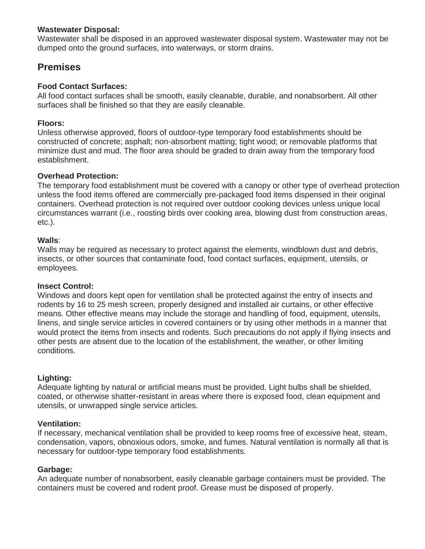#### **Wastewater Disposal:**

Wastewater shall be disposed in an approved wastewater disposal system. Wastewater may not be dumped onto the ground surfaces, into waterways, or storm drains.

# **Premises**

# **Food Contact Surfaces:**

All food contact surfaces shall be smooth, easily cleanable, durable, and nonabsorbent. All other surfaces shall be finished so that they are easily cleanable.

# **Floors:**

Unless otherwise approved, floors of outdoor-type temporary food establishments should be constructed of concrete; asphalt; non-absorbent matting; tight wood; or removable platforms that minimize dust and mud. The floor area should be graded to drain away from the temporary food establishment.

# **Overhead Protection:**

The temporary food establishment must be covered with a canopy or other type of overhead protection unless the food items offered are commercially pre-packaged food items dispensed in their original containers. Overhead protection is not required over outdoor cooking devices unless unique local circumstances warrant (i.e., roosting birds over cooking area, blowing dust from construction areas, etc.).

# **Walls**:

Walls may be required as necessary to protect against the elements, windblown dust and debris, insects, or other sources that contaminate food, food contact surfaces, equipment, utensils, or employees.

# **Insect Control:**

Windows and doors kept open for ventilation shall be protected against the entry of insects and rodents by 16 to 25 mesh screen, properly designed and installed air curtains, or other effective means. Other effective means may include the storage and handling of food, equipment, utensils, linens, and single service articles in covered containers or by using other methods in a manner that would protect the items from insects and rodents. Such precautions do not apply if flying insects and other pests are absent due to the location of the establishment, the weather, or other limiting conditions.

# **Lighting:**

Adequate lighting by natural or artificial means must be provided. Light bulbs shall be shielded, coated, or otherwise shatter-resistant in areas where there is exposed food, clean equipment and utensils, or unwrapped single service articles.

# **Ventilation:**

If necessary, mechanical ventilation shall be provided to keep rooms free of excessive heat, steam, condensation, vapors, obnoxious odors, smoke, and fumes. Natural ventilation is normally all that is necessary for outdoor-type temporary food establishments.

# **Garbage:**

An adequate number of nonabsorbent, easily cleanable garbage containers must be provided. The containers must be covered and rodent proof. Grease must be disposed of properly.